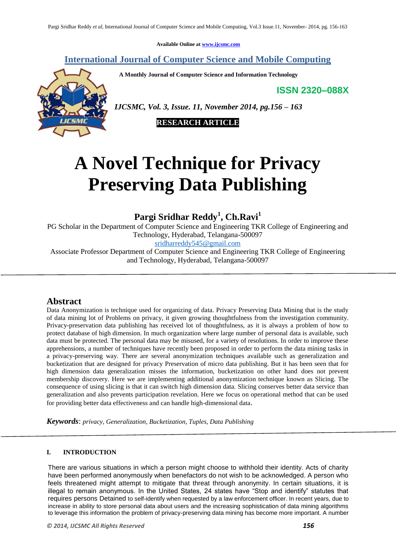**Available Online at [www.ijcsmc.com](http://www.ijcsmc.com/)**

**International Journal of Computer Science and Mobile Computing**

 **A Monthly Journal of Computer Science and Information Technology**

**ISSN 2320–088X**



*IJCSMC, Vol. 3, Issue. 11, November 2014, pg.156 – 163*

 **RESEARCH ARTICLE**

# **A Novel Technique for Privacy Preserving Data Publishing**

**Pargi Sridhar Reddy<sup>1</sup> , Ch.Ravi<sup>1</sup>**

PG Scholar in the Department of Computer Science and Engineering TKR College of Engineering and Technology, Hyderabad, Telangana-500097

[sridharreddy545@gmail.com](mailto:sridharreddy545@gmail.com)

Associate Professor Department of Computer Science and Engineering TKR College of Engineering and Technology, Hyderabad, Telangana-500097

# **Abstract**

Data Anonymization is technique used for organizing of data. Privacy Preserving Data Mining that is the study of data mining lot of Problems on privacy, it given growing thoughtfulness from the investigation community. Privacy-preservation data publishing has received lot of thoughtfulness, as it is always a problem of how to protect database of high dimension. In much organization where large number of personal data is available, such data must be protected. The personal data may be misused, for a variety of resolutions. In order to improve these apprehensions, a number of techniques have recently been proposed in order to perform the data mining tasks in a privacy-preserving way. There are several anonymization techniques available such as generalization and bucketization that are designed for privacy Preservation of micro data publishing. But it has been seen that for high dimension data generalization misses the information, bucketization on other hand does not prevent membership discovery. Here we are implementing additional anonymization technique known as Slicing. The consequence of using slicing is that it can switch high dimension data. Slicing conserves better data service than generalization and also prevents participation revelation. Here we focus on operational method that can be used for providing better data effectiveness and can handle high-dimensional data.

*Keywords*: *privacy, Generalization, Bucketization, Tuples, Data Publishing*

# **I. INTRODUCTION**

There are various situations in which a person might choose to withhold their identity. Acts of charity have been performed anonymously when benefactors do not wish to be acknowledged. A person who feels threatened might attempt to mitigate that threat through anonymity. In certain situations, it is illegal to remain anonymous. In the United States, 24 states have "Stop and identify" statutes that requires persons Detained to self-identify when requested by a law enforcement officer. In recent years, due to increase in ability to store personal data about users and the increasing sophistication of data mining algorithms to leverage this information the problem of privacy-preserving data mining has become more important. A number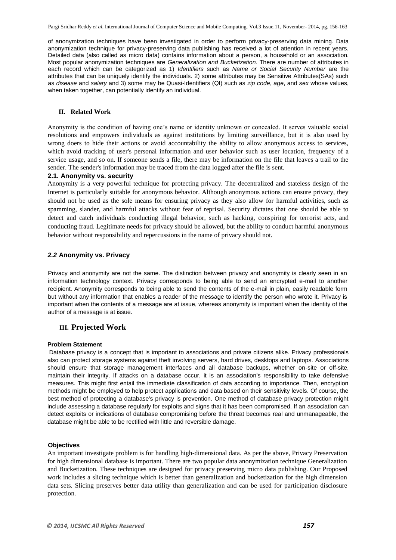of anonymization techniques have been investigated in order to perform privacy-preserving data mining. Data anonymization technique for privacy-preserving data publishing has received a lot of attention in recent years. Detailed data (also called as micro data) contains information about a person, a household or an association. Most popular anonymization techniques are *Generalization and Bucketization.* There are number of attributes in each record which can be categorized as 1) *Identifiers* such as *Name or Social Security Number* are the attributes that can be uniquely identify the individuals. 2) some attributes may be Sensitive Attributes(SAs) such as *disease* and *salary* and 3) some may be Quasi-Identifiers (QI) such as *zip code*, *age*, and *sex* whose values, when taken together, can potentially identify an individual.

## **II. Related Work**

Anonymity is the condition of having one"s name or identity unknown or concealed. It serves valuable social resolutions and empowers individuals as against institutions by limiting surveillance, but it is also used by wrong doers to hide their actions or avoid accountability the ability to allow anonymous access to services, which avoid tracking of user's personal information and user behavior such as user location, frequency of a service usage, and so on. If someone sends a file, there may be information on the file that leaves a trail to the sender. The sender's information may be traced from the data logged after the file is sent.

#### **2.1. Anonymity vs. security**

Anonymity is a very powerful technique for protecting privacy. The decentralized and stateless design of the Internet is particularly suitable for anonymous behavior. Although anonymous actions can ensure privacy, they should not be used as the sole means for ensuring privacy as they also allow for harmful activities, such as spamming, slander, and harmful attacks without fear of reprisal. Security dictates that one should be able to detect and catch individuals conducting illegal behavior, such as hacking, conspiring for terrorist acts, and conducting fraud. Legitimate needs for privacy should be allowed, but the ability to conduct harmful anonymous behavior without responsibility and repercussions in the name of privacy should not.

### *2.2* **Anonymity vs. Privacy**

Privacy and anonymity are not the same. The distinction between privacy and anonymity is clearly seen in an information technology context. Privacy corresponds to being able to send an encrypted e-mail to another recipient. Anonymity corresponds to being able to send the contents of the e-mail in plain, easily readable form but without any information that enables a reader of the message to identify the person who wrote it. Privacy is important when the contents of a message are at issue, whereas anonymity is important when the identity of the author of a message is at issue.

### **III. Projected Work**

#### **Problem Statement**

Database privacy is a concept that is important to associations and private citizens alike. Privacy professionals also can protect storage systems against theft involving servers, hard drives, desktops and laptops. Associations should ensure that storage management interfaces and all database backups, whether on-site or off-site, maintain their integrity. If attacks on a database occur, it is an association's responsibility to take defensive measures. This might first entail the immediate classification of data according to importance. Then, encryption methods might be employed to help protect applications and data based on their sensitivity levels. Of course, the best method of protecting a database's privacy is prevention. One method of database privacy protection might include assessing a database regularly for exploits and signs that it has been compromised. If an association can detect exploits or indications of database compromising before the threat becomes real and unmanageable, the database might be able to be rectified with little and reversible damage.

#### **Objectives**

An important investigate problem is for handling high-dimensional data. As per the above, Privacy Preservation for high dimensional database is important. There are two popular data anonymization technique Generalization and Bucketization. These techniques are designed for privacy preserving micro data publishing. Our Proposed work includes a slicing technique which is better than generalization and bucketization for the high dimension data sets. Slicing preserves better data utility than generalization and can be used for participation disclosure protection.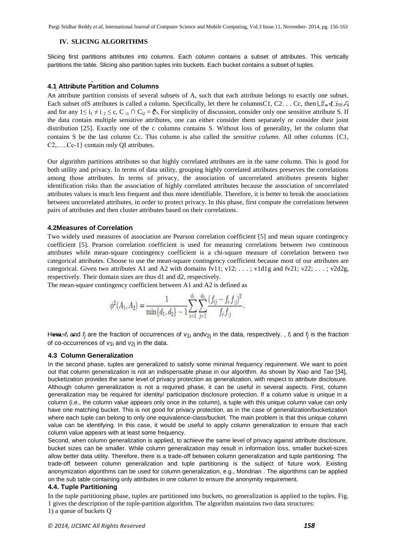Pargi Sridhar Reddy *et al*, International Journal of Computer Science and Mobile Computing, Vol.3 Issue.11, November- 2014, pg. 156-163

## **IV. SLICING ALGORITHMS**

Slicing first partitions attributes into columns. Each column contains a subset of attributes. This vertically partitions the table. Slicing also partition tuples into buckets. Each bucket contains a subset of tuples.

# **4.1 Attribute Partition and Columns**

An attribute partition consists of several subsets of A, such that each attribute belongs to exactly one subset. Each subset ofS attributes is called a column. Specifically, let there be columnsC1, C2. . . Cc, then  $\bigcup_{i=1}^{n} \bigcup_{i=1}^{n}$ . and for any  $1 \le i_1 \ne i_2 \le c$ , C  $i_1 \cap C_{i2} = \mathbb{C}^n$ . For simplicity of discussion, consider only one sensitive attribute S. If the data contain multiple sensitive attributes, one can either consider them separately or consider their joint distribution [25]. Exactly one of the c columns contains S. Without loss of generality, let the column that contains S be the last column Cc. This column is also called the *sensitive column*. All other columns {C1, C2,…..Cc-1} contain only QI attributes.

Our algorithm partitions attributes so that highly correlated attributes are in the same column. This is good for both utility and privacy. In terms of data utility, grouping highly correlated attributes preserves the correlations among those attributes. In terms of privacy, the association of uncorrelated attributes presents higher identification risks than the association of highly correlated attributes because the association of uncorrelated attributes values is much less frequent and thus more identifiable. Therefore, it is better to break the associations between uncorrelated attributes, in order to protect privacy. In this phase, first compute the correlations between pairs of attributes and then cluster attributes based on their correlations.

### **4.2Measures of Correlation**

Two widely used measures of association are Pearson correlation coefficient [5] and mean square contingency coefficient [5]. Pearson correlation coefficient is used for measuring correlations between two continuous attributes while mean-square contingency coefficient is a chi-square measure of correlation between two categorical attributes. Choose to use the mean-square contingency coefficient because most of our attributes are categorical. Given two attributes A1 and A2 with domains  $fv11$ ;  $v12$ ; ...;  $v1d1g$  and  $fv21$ ;  $v22$ ; ...;  $v2d2g$ , respectively. Their domain sizes are thus d1 and d2, respectively.

and the company of the company of

The mean-square contingency coefficient between A1 and A2 is defined as

$$
\phi^{2}(A_{1}, A_{2}) = \frac{1}{\min\{d_{1}, d_{2}\} - 1} \sum_{i=1}^{d_{1}} \sum_{j=1}^{d_{2}} \frac{(f_{ij} - f_{i}, f_{j})^{2}}{f_{i}f_{j}}.
$$

Here, *fi* and *fj* are the fraction of occurrences of v1i andv2j in the data, respectively. , *fi* and *fj* is the fraction of co-occurrences of  $v_{1i}$  and  $v_{2i}$  in the data.

### **4.3 Column Generalization**

In the second phase, tuples are generalized to satisfy some minimal frequency requirement. We want to point out that column generalization is not an indispensable phase in our algorithm. As shown by Xiao and Tao [34], bucketization provides the same level of privacy protection as generalization, with respect to attribute disclosure. Although column generalization is not a required phase, it can be useful in several aspects. First, column generalization may be required for identity/ participation disclosure protection. If a column value is unique in a column (i.e., the column value appears only once in the column), a tuple with this unique column value can only have one matching bucket. This is not good for privacy protection, as in the case of generalization/bucketization where each tuple can belong to only one equivalence-class/bucket. The main problem is that this unique column value can be identifying. In this case, it would be useful to apply column generalization to ensure that each column value appears with at least some frequency.

Second, when column generalization is applied, to achieve the same level of privacy against attribute disclosure, bucket sizes can be smaller. While column generalization may result in information loss, smaller bucket-sizes allow better data utility. Therefore, there is a trade-off between column generalization and tuple partitioning. The trade-off between column generalization and tuple partitioning is the subject of future work. Existing anonymization algorithms can be used for column generalization, e.g., Mondrian . The algorithms can be applied on the sub table containing only attributes in one column to ensure the anonymity requirement.

#### **4.4. Tuple Partitioning**

In the tuple partitioning phase, tuples are partitioned into buckets, no generalization is applied to the tuples. Fig. 1 gives the description of the tuple-partition algorithm. The algorithm maintains two data structures: 1) a queue of buckets Q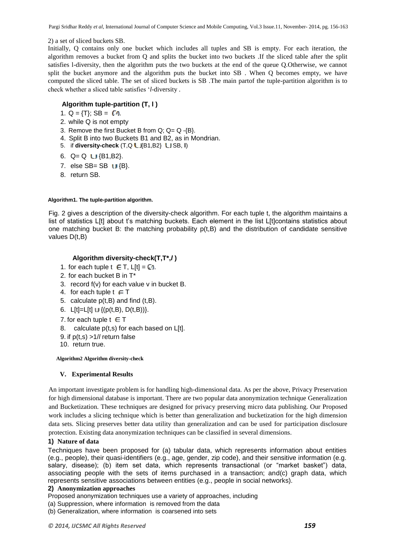Pargi Sridhar Reddy *et al*, International Journal of Computer Science and Mobile Computing, Vol.3 Issue.11, November- 2014, pg. 156-163

# 2) a set of sliced buckets SB.

Initially, Q contains only one bucket which includes all tuples and SB is empty. For each iteration, the algorithm removes a bucket from Q and splits the bucket into two buckets .If the sliced table after the split satisfies l-diversity, then the algorithm puts the two buckets at the end of the queue Q.Otherwise, we cannot split the bucket anymore and the algorithm puts the bucket into SB . When Q becomes empty, we have computed the sliced table. The set of sliced buckets is SB .The main partof the tuple-partition algorithm is to check whether a sliced table satisfies "*l*-diversity .

# **Algorithm tuple-partition (T, l )**

- 1. Q = {T}; SB =  $\sqrt{9}$ .
- 2. while Q is not empty
- 3. Remove the first Bucket B from Q; Q= Q -{B}.
- 4. Split B into two Buckets B1 and B2, as in Mondrian.
- 5. if **diversity-check** (T,Q LJ{B1,B2} LJ SB, **l**)
- 6.  $Q = Q$   $LI$  {B1,B2}.
- 7. else  $SB = SB$   $\cup \{B\}$ .
- 8. return SB.

# **Algorithm1. The tuple-partition algorithm.**

Fig. 2 gives a description of the diversity-check algorithm. For each tuple t, the algorithm maintains a list of statistics L[t] about t's matching buckets. Each element in the list L[t]contains statistics about one matching bucket B: the matching probability  $p(t,B)$  and the distribution of candidate sensitive values D(t,B)

# **Algorithm diversity-check(T,T\*,***l* **)**

- 1. for each tuple  $t \in T$ ,  $L[t] = \mathbb{C}r$ .
- 2. for each bucket B in T\*
- 3. record f(v) for each value v in bucket B.
- 4. for each tuple  $t \in T$
- 5. calculate  $p(t,B)$  and find  $(t,B)$ .
- 6. L[t]=L[t]  $\cup$  {(p(t,B), D(t,B))}.
- 7. for each tuple  $t \in T$
- 8. calculate  $p(t,s)$  for each based on  $L[t]$ .
- 9. if p(t,s) >1/*l* return false
- 10. return true.

# **Algorithm2 Algorithm diversity-check**

# **V. Experimental Results**

An important investigate problem is for handling high-dimensional data. As per the above, Privacy Preservation for high dimensional database is important. There are two popular data anonymization technique Generalization and Bucketization. These techniques are designed for privacy preserving micro data publishing. Our Proposed work includes a slicing technique which is better than generalization and bucketization for the high dimension data sets. Slicing preserves better data utility than generalization and can be used for participation disclosure protection. Existing data anonymization techniques can be classified in several dimensions.

# **1) Nature of data**

Techniques have been proposed for (a) tabular data, which represents information about entities (e.g., people), their quasi-identifiers (e.g., age, gender, zip code), and their sensitive information (e.g. salary, disease); (b) item set data, which represents transactional (or "market basket") data, associating people with the sets of items purchased in a transaction; and(c) graph data, which represents sensitive associations between entities (e.g., people in social networks).

# **2) Anonymization approaches**

Proposed anonymization techniques use a variety of approaches, including

- (a) Suppression, where information is removed from the data
- (b) Generalization, where information is coarsened into sets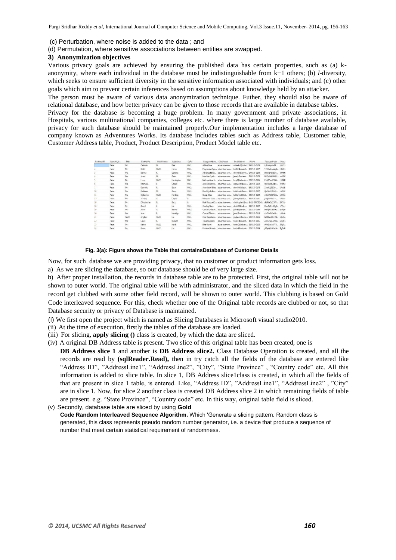(c) Perturbation, where noise is added to the data ; and

(d) Permutation, where sensitive associations between entities are swapped.

#### **3) Anonymization objectives**

Various privacy goals are achieved by ensuring the published data has certain properties, such as (a) kanonymity, where each individual in the database must be indistinguishable from k−1 others; (b) *l*-diversity, which seeks to ensure sufficient diversity in the sensitive information associated with individuals; and (c) other goals which aim to prevent certain inferences based on assumptions about knowledge held by an attacker.

The person must be aware of various data anonymization technique. Futher, they should also be aware of relational database, and how better privacy can be given to those records that are available in database tables.

Privacy for the database is becoming a huge problem. In many government and private associations, in Hospitals, various multinational companies, colleges etc. where there is large number of database available, privacy for such database should be maintained properly.Our implementation includes a large database of company known as Adventures Works. Its database includes tables such as Address table, Customer table, Customer Address table, Product, Product Description, Product Model table etc.

| CustomedD | NameStyle | Title | FirstName   | MiddleName  | LastName   | Suffix      | CompanyName           | SalesPerson                     | <b>EmailAddress</b>                                           | Phone                           | PasswordHash           | Passw                |
|-----------|-----------|-------|-------------|-------------|------------|-------------|-----------------------|---------------------------------|---------------------------------------------------------------|---------------------------------|------------------------|----------------------|
|           | False     | Mr.   | Orlando     | N.          | Gee        | NULL        | A Bike Store          | adventure-wor                   | orlando0@adve 245-555-0173                                    |                                 | L/RIwxzp4w7R.          | 1KptYs               |
|           | False     | Mr.   | Keith       | <b>NULL</b> | Harris     | <b>NULL</b> |                       | Progressive Spp., adventure-wor | keithD@advent., 170-555-0127                                  |                                 | YPdtRdvgeAhi6., fs1ZGh |                      |
|           | False     | Ms.   | Donna       | F.          | Carreras   | NULL        |                       | Advanced Bike  adventure-wor    | donna0@adven 279-555-0130                                     |                                 | LNoK27abGOo            | <b>VTNHS</b>         |
|           | False     | Mu    | Janet       | M.          | Gates      | NULL        |                       |                                 | Modular Cycle __ adventure-wor isnet1@advent 710-555-0173     |                                 | ElzTpSNbUW1U nm7D5     |                      |
|           | False.    | Mr.   | Lucy        | NULL        | Harrington | <b>NUEL</b> |                       |                                 | Metropolitan S., adventure-wor., lucy0@adventu., 828-555-0186 |                                 | KJaV15wsX3PG           | $-15811$             |
|           | False     | Mc    | Rosmarie    |             | Carroll    | <b>NULL</b> | Aerobic Exercit       | adventure-wor                   | rosmarie0@adv 244-555-0112                                    |                                 | OKT0scizCdlzv          | ihWf50               |
|           | False     | Mr.   | Dominic     | ₽.          | Gash       | NULL        | Associated Rikes      | adventure-wor                   | dominic0@adv., 192-555-0173                                   |                                 | ZccoP/iZGOm            | sPoUB!               |
|           | False     | Ms    | Kathleen    | M.          | Garza      | <b>NULL</b> | Rural Cycle Em        | adventure-wor                   | kathleen0@adv.,, 150-555-0127                                 |                                 | Qa3aMCxNbVL Ls05W.     |                      |
|           | False     | Ms.   | Katherine   | NULL        | Harding    | NULL        | Sharp Bikes           | adventure-wor                   | katherine0@ad., 926-555-0159                                  |                                 | uRlorVzDGNIIX          | ipHKbc               |
|           | False     | Mr.   | Johnny      | А.          | Caprio     | h.          | Bikes and Moto        | adventure-wor                   | johnny0@adve 112-555-0191                                     |                                 | aF9jBoFYeJTaE          | <b><i>w</i></b> VLnv |
|           | False     | Mr.   | Christopher |             | Beck       | h.          | Bulk Discount S       | adventure-wor                   |                                                               | christopher1@a 1 (11) 500 555-0 | sKt9daCzEEKW           | 8KFYX/c              |
|           | False     | Mr.   | David       |             | Liu        | NULL        | Catalog Store         | adventure wor                   | david20@adve                                                  | 440-555-0132                    | 61zeTkO+eBa8. c7Ttvv   |                      |
| 10        | False     | Mr.   | John        |             | Beaver     | NULL        | Center Cycle Sh       | adventure-wor                   | john8@advent                                                  | 521-555-0195                    | DzbqWX7B3EK5 zXNqtJ    |                      |
|           | False     | Ms.   | Jean:       | P.          | Handley    | NULL        | Central Discou        | adventure-wor                   | jean1@adventu 582-555-0113                                    |                                 | a1GVo3vExeNz           | uMode                |
|           | False     | NULL  | linghap     | NULL        | Liu        | NULL        | Chic Departme         | adventure-wor                   | inghaol@adve 928-555-0116                                     |                                 | IaDSAegK9mRil.         | p6eGa                |
| 22        | False     | Mc    | Linda       | ε           | Burnett    | NULL        | <b>Travel Systems</b> | adventure-wor                   | linda4@advent 171-555-0121                                    |                                 | 23AwhujCoXYS           | <b>SmylPi</b>        |
|           | False     | Mr.   | Kenm        | <b>NULL</b> | Hanif      | <b>NULL</b> | <b>Bike World</b>     | adventure-wor                   | kerim0@advent 216-555-0122                                    |                                 | d0WSjosAd7Y3           | 33q5cc               |
|           | Falce     | Me    | K'ander     | <b>MEEL</b> | Liss.      | Att # E     | Fasteida Damad        |                                 | Mith.222.300. topologith2nisasi sourcestrated a               |                                 | dToMOHKLoids ToZoll    |                      |

#### **Fig. 3(a): Figure shows the Table that containsDatabase of Customer Details**

Now, for such database we are providing privacy, that no customer or product information gets loss.

a) As we are slicing the database, so our database should be of very large size.

b) After proper installation, the records in database table are to be protected. First, the original table will not be shown to outer world. The original table will be with administrator, and the sliced data in which the field in the record get clubbed with some other field record, will be shown to outer world. This clubbing is based on Gold Code interleaved sequence. For this, check whether one of the Original table records are clubbed or not, so that Database security or privacy of Database is maintained.

(i) We first open the project which is named as Slicing Databases in Microsoft visual studio2010.

- (ii) At the time of execution, firstly the tables of the database are loaded.
- (iii) For slicing, **apply slicing ()** class is created, by which the data are sliced.
- (iv) A original DB Address table is present. Two slice of this original table has been created, one is

**DB Address slice 1** and another is **DB Address slice2.** Class Database Operation is created, and all the records are read by **(sqlReader.Read),** then in try catch all the fields of the database are entered like "Address ID", "AddressLine1", "AddressLine2", "City", "State Province" , "Country code" etc. All this information is added to slice table. In slice 1, DB Address slice1class is created, in which all the fields of that are present in slice 1 table, is entered. Like, "Address ID", "AddressLine1", "AddressLine2" , "City" are in slice 1. Now, for slice 2 another class is created DB Address slice 2 in which remaining fields of table are present. e.g. "State Province", "Country code" etc. In this way, original table field is sliced.

(v) Secondly, database table are sliced by using **Gold**

**Code Random Interleaved Sequence Algorithm.** Which "Generate a slicing pattern. Random class is generated, this class represents pseudo random number generator, i.e. a device that produce a sequence of number that meet certain statistical requirement of randomness.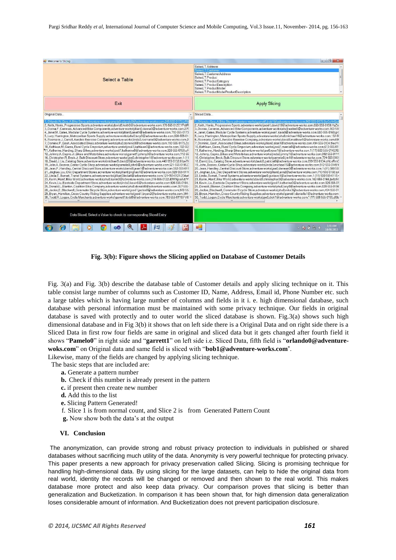

**Fig. 3(b): Figure shows the Slicing applied on Database of Customer Details**

Fig. 3(a) and Fig. 3(b) describe the database table of Customer details and apply slicing technique on it. This table consist large number of columns such as Customer ID, Name, Address, Email id, Phone Number etc. such a large tables which is having large number of columns and fields in it i. e. high dimensional database, such database with personal information must be maintained with some privacy technique. Our fields in original database is saved with protectly and to outer world the sliced database is shown. Fig.3(a) shows such high dimensional database and in Fig 3(b) it shows that on left side there is a Original Data and on right side there is a Sliced Data in first row four fields are same in original and sliced data but it gets changed after fourth field it shows "**Pamelo0**" in right side and "**garrett1**" on left side i.e. Sliced Data, fifth field is "**orlando0@adventurewoks.com**" on Original data and same field is sliced with "**bob1@adventure-works.com**". Likewise, many of the fields are changed by applying slicing technique.

The basic steps that are included are:

- **a.** Generate a pattern number
- **b.** Check if this number is already present in the pattern
- **c.** if present then create new number
- **d.** Add this to the list
- **e.** Slicing Pattern Generated!
- f. Slice 1 is from normal count, and Slice 2 is from Generated Pattern Count
- **g.** Now show both the data"s at the output

#### **VI. Conclusion**

The anonymization, can provide strong and robust privacy protection to individuals in published or shared databases without sacrificing much utility of the data. Anonymity is very powerful technique for protecting privacy. This paper presents a new approach for privacy preservation called Slicing. Slicing is promising technique for handling high-dimensional data. By using slicing for the large datasets, can help to hide the original data from real world, identity the records will be changed or removed and then shown to the real world. This makes database more protect and also keep data privacy. Our comparison proves that slicing is better than generalization and Bucketization. In comparison it has been shown that, for high dimension data generalization loses considerable amount of information. And Bucketization does not prevent participation disclosure.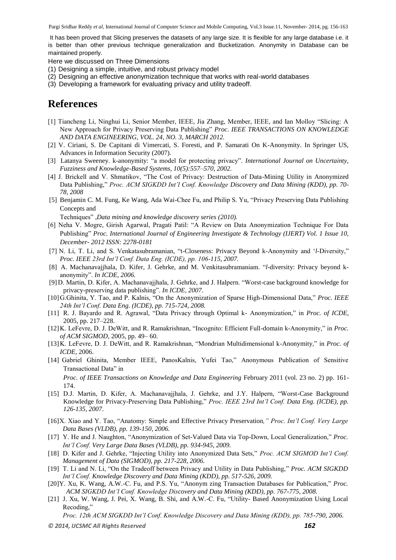Pargi Sridhar Reddy *et al*, International Journal of Computer Science and Mobile Computing, Vol.3 Issue.11, November- 2014, pg. 156-163

It has been proved that Slicing preserves the datasets of any large size. It is flexible for any large database i.e. it is better than other previous technique generalization and Bucketization. Anonymity in Database can be maintained properly.

Here we discussed on Three Dimensions

- (1) Designing a simple, intuitive, and robust privacy model
- (2) Designing an effective anonymization technique that works with real-world databases
- (3) Developing a framework for evaluating privacy and utility tradeoff.

# **References**

- [1] Tiancheng Li, Ninghui Li, Senior Member, IEEE, Jia Zhang, Member, IEEE, and Ian Molloy "Slicing: A New Approach for Privacy Preserving Data Publishing" *Proc. IEEE TRANSACTIONS ON KNOWLEDGE AND DATA ENGINEERING, VOL. 24, NO. 3, MARCH 2012.*
- [2] V. Ciriani, S. De Capitani di Vimercati, S. Foresti, and P. Samarati On K-Anonymity. In Springer US, Advances in Information Security (2007).
- [3] Latanya Sweeney. k-anonymity: "a model for protecting privacy". *International Journal on Uncertainty, Fuzziness and Knowledge-Based Systems, 10(5):557–570, 2002.*
- [4] J. Brickell and V. Shmatikov, "The Cost of Privacy: Destruction of Data-Mining Utility in Anonymized Data Publishing," *Proc. ACM SIGKDD Int'l Conf. Knowledge Discovery and Data Mining (KDD), pp. 70- 78, 2008*
- [5] Benjamin C. M. Fung, Ke Wang, Ada Wai-Chee Fu, and Philip S. Yu, "Privacy Preserving Data Publishing Concepts and

Techniques" ,*Data mining and knowledge discovery series (2010).*

- [6] Neha V. Mogre, Girish Agarwal, Pragati Patil: "A Review on Data Anonymization Technique For Data Publishing" *Proc. International Journal of Engineering Investigate & Technology (IJERT) Vol. 1 Issue 10, December- 2012 ISSN: 2278-0181*
- [7] N. Li, T. Li, and S. Venkatasubramanian, "t-Closeness: Privacy Beyond k-Anonymity and "*l*-Diversity," *Proc. IEEE 23rd Int'l Conf. Data Eng. (ICDE), pp. 106-115, 2007.*
- [8] A. Machanavajjhala, D. Kifer, J. Gehrke, and M. Venkitasubramaniam. "*l*-diversity: Privacy beyond kanonymity". *In ICDE, 2006.*
- [9]D. Martin, D. Kifer, A. Machanavajjhala, J. Gehrke, and J. Halpern. "Worst-case background knowledge for privacy-preserving data publishing". *In ICDE, 2007.*
- [10]G.Ghinita, Y. Tao, and P. Kalnis, "On the Anonymization of Sparse High-Dimensional Data," *Proc. IEEE 24th Int'l Conf. Data Eng. (ICDE), pp. 715-724, 2008.*
- [11] R. J. Bayardo and R. Agrawal, "Data Privacy through Optimal k- Anonymization," in *Proc. of ICDE*, 2005, pp. 217–228.
- [12]K. LeFevre, D. J. DeWitt, and R. Ramakrishnan, "Incognito: Efficient Full-domain k-Anonymity," in *Proc. of ACM SIGMOD*, 2005, pp. 49– 60.
- [13]K. LeFevre, D. J. DeWitt, and R. Ramakrishnan, "Mondrian Multidimensional k-Anonymity," in *Proc. of ICDE*, 2006.
- [14] Gabriel Ghinita, Member IEEE, PanosKalnis, Yufei Tao," Anonymous Publication of Sensitive Transactional Data" in *Proc. of IEEE Transactions on Knowledge and Data Engineering* February 2011 (vol. 23 no. 2) pp. 161- 174.
- [15] D.J. Martin, D. Kifer, A. Machanavajjhala, J. Gehrke, and J.Y. Halpern, "Worst-Case Background Knowledge for Privacy-Preserving Data Publishing," *Proc. IEEE 23rd Int'l Conf. Data Eng. (ICDE), pp. 126-135, 2007*.
- [16]X. Xiao and Y. Tao, "Anatomy: Simple and Effective Privacy Preservation*," Proc. Int'l Conf. Very Large Data Bases (VLDB), pp. 139-150, 2006.*
- [17] Y. He and J. Naughton, "Anonymization of Set-Valued Data via Top-Down, Local Generalization," *Proc. Int'l Conf. Very Large Data Bases (VLDB), pp. 934-945, 2009.*
- [18] D. Kifer and J. Gehrke, "Injecting Utility into Anonymized Data Sets," *Proc. ACM SIGMOD Int'l Conf. Management of Data (SIGMOD), pp. 217-228, 2006.*
- [19] T. Li and N. Li, "On the Tradeoff between Privacy and Utility in Data Publishing," *Proc. ACM SIGKDD Int'l Conf. Knowledge Discovery and Data Mining (KDD), pp. 517-526, 2009.*
- [20]Y. Xu, K. Wang, A.W.-C. Fu, and P.S. Yu, "Anonym zing Transaction Databases for Publication," *Proc. ACM SIGKDD Int'l Conf. Knowledge Discovery and Data Mining (KDD), pp. 767-775, 2008.*
- [21] J. Xu, W. Wang, J. Pei, X. Wang, B. Shi, and A.W.-C. Fu, "Utility- Based Anonymization Using Local Recoding,"

*Proc. 12th ACM SIGKDD Int'l Conf. Knowledge Discovery and Data Mining (KDD), pp. 785-790, 2006.*